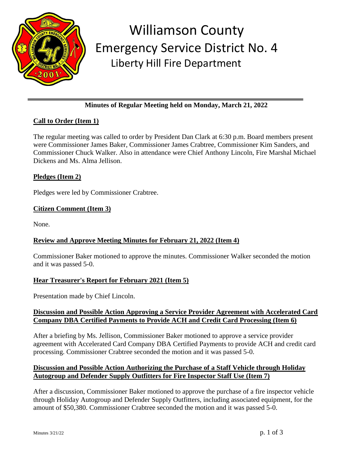

## Williamson County Emergency Service District No. 4 Liberty Hill Fire Department

## **Minutes of Regular Meeting held on Monday, March 21, 2022**

## **Call to Order (Item 1)**

The regular meeting was called to order by President Dan Clark at 6:30 p.m. Board members present were Commissioner James Baker, Commissioner James Crabtree, Commissioner Kim Sanders, and Commissioner Chuck Walker. Also in attendance were Chief Anthony Lincoln, Fire Marshal Michael Dickens and Ms. Alma Jellison.

#### **Pledges (Item 2)**

Pledges were led by Commissioner Crabtree.

## **Citizen Comment (Item 3)**

None.

## **Review and Approve Meeting Minutes for February 21, 2022 (Item 4)**

Commissioner Baker motioned to approve the minutes. Commissioner Walker seconded the motion and it was passed 5-0.

#### **Hear Treasurer's Report for February 2021 (Item 5)**

Presentation made by Chief Lincoln.

#### **Discussion and Possible Action Approving a Service Provider Agreement with Accelerated Card Company DBA Certified Payments to Provide ACH and Credit Card Processing (Item 6)**

After a briefing by Ms. Jellison, Commissioner Baker motioned to approve a service provider agreement with Accelerated Card Company DBA Certified Payments to provide ACH and credit card processing. Commissioner Crabtree seconded the motion and it was passed 5-0.

#### **Discussion and Possible Action Authorizing the Purchase of a Staff Vehicle through Holiday Autogroup and Defender Supply Outfitters for Fire Inspector Staff Use (Item 7)**

After a discussion, Commissioner Baker motioned to approve the purchase of a fire inspector vehicle through Holiday Autogroup and Defender Supply Outfitters, including associated equipment, for the amount of \$50,380. Commissioner Crabtree seconded the motion and it was passed 5-0.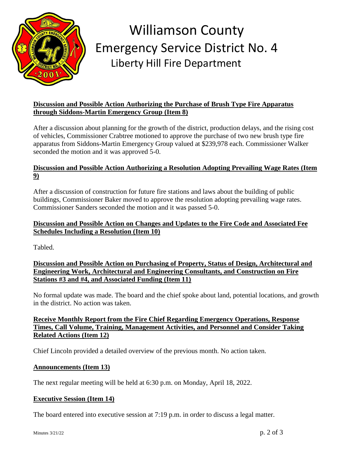

# Williamson County Emergency Service District No. 4 Liberty Hill Fire Department

#### **Discussion and Possible Action Authorizing the Purchase of Brush Type Fire Apparatus through Siddons-Martin Emergency Group (Item 8)**

After a discussion about planning for the growth of the district, production delays, and the rising cost of vehicles, Commissioner Crabtree motioned to approve the purchase of two new brush type fire apparatus from Siddons-Martin Emergency Group valued at \$239,978 each. Commissioner Walker seconded the motion and it was approved 5-0.

#### **Discussion and Possible Action Authorizing a Resolution Adopting Prevailing Wage Rates (Item 9)**

After a discussion of construction for future fire stations and laws about the building of public buildings, Commissioner Baker moved to approve the resolution adopting prevailing wage rates. Commissioner Sanders seconded the motion and it was passed 5-0.

#### **Discussion and Possible Action on Changes and Updates to the Fire Code and Associated Fee Schedules Including a Resolution (Item 10)**

Tabled.

#### **Discussion and Possible Action on Purchasing of Property, Status of Design, Architectural and Engineering Work, Architectural and Engineering Consultants, and Construction on Fire Stations #3 and #4, and Associated Funding (Item 11)**

No formal update was made. The board and the chief spoke about land, potential locations, and growth in the district. No action was taken.

#### **Receive Monthly Report from the Fire Chief Regarding Emergency Operations, Response Times, Call Volume, Training, Management Activities, and Personnel and Consider Taking Related Actions (Item 12)**

Chief Lincoln provided a detailed overview of the previous month. No action taken.

#### **Announcements (Item 13)**

The next regular meeting will be held at 6:30 p.m. on Monday, April 18, 2022.

#### **Executive Session (Item 14)**

The board entered into executive session at 7:19 p.m. in order to discuss a legal matter.